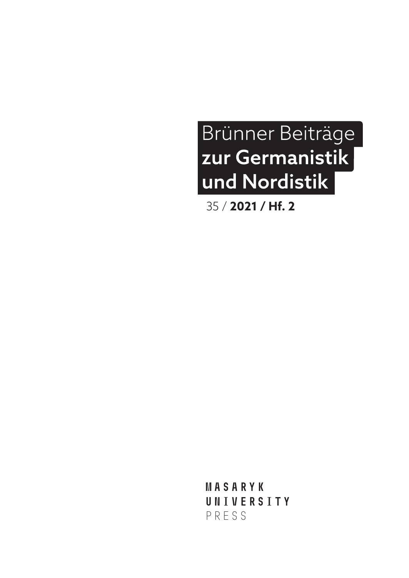## Brünner Beiträge zur Germanistik und Nordistik

35 / **2021 / Hf. 2**

**MASARYK UNIVERSITY** PRESS